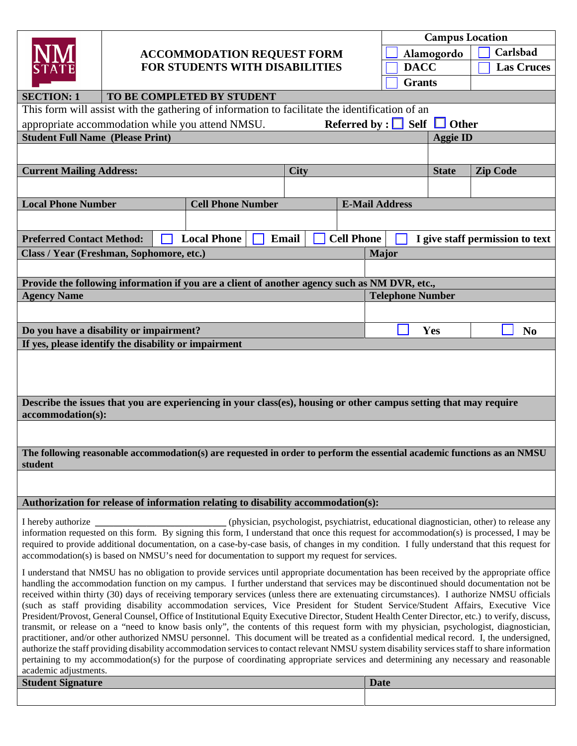| <b>SECTION: 1</b>                                                                                                                  |                                                      | <b>ACCOMMODATION REQUEST FORM</b><br>FOR STUDENTS WITH DISABILITIES<br>TO BE COMPLETED BY STUDENT                                                                                                                                                                                                                                                                                                                                                                                                                                                                                                                                                                                                                                                                                                                                                                                                                                                                                                                                                                                                                                                                                                                                                                                                   |                         | <b>Campus Location</b><br>Carlsbad<br>Alamogordo<br><b>DACC</b><br><b>Las Cruces</b><br><b>Grants</b> |              |              |                                                                                          |  |  |  |  |
|------------------------------------------------------------------------------------------------------------------------------------|------------------------------------------------------|-----------------------------------------------------------------------------------------------------------------------------------------------------------------------------------------------------------------------------------------------------------------------------------------------------------------------------------------------------------------------------------------------------------------------------------------------------------------------------------------------------------------------------------------------------------------------------------------------------------------------------------------------------------------------------------------------------------------------------------------------------------------------------------------------------------------------------------------------------------------------------------------------------------------------------------------------------------------------------------------------------------------------------------------------------------------------------------------------------------------------------------------------------------------------------------------------------------------------------------------------------------------------------------------------------|-------------------------|-------------------------------------------------------------------------------------------------------|--------------|--------------|------------------------------------------------------------------------------------------|--|--|--|--|
| This form will assist with the gathering of information to facilitate the identification of an                                     |                                                      |                                                                                                                                                                                                                                                                                                                                                                                                                                                                                                                                                                                                                                                                                                                                                                                                                                                                                                                                                                                                                                                                                                                                                                                                                                                                                                     |                         |                                                                                                       |              |              |                                                                                          |  |  |  |  |
| Referred by : $\Box$ Self $\Box$<br>appropriate accommodation while you attend NMSU.<br>$\Box$ Other                               |                                                      |                                                                                                                                                                                                                                                                                                                                                                                                                                                                                                                                                                                                                                                                                                                                                                                                                                                                                                                                                                                                                                                                                                                                                                                                                                                                                                     |                         |                                                                                                       |              |              |                                                                                          |  |  |  |  |
| <b>Student Full Name (Please Print)</b>                                                                                            |                                                      |                                                                                                                                                                                                                                                                                                                                                                                                                                                                                                                                                                                                                                                                                                                                                                                                                                                                                                                                                                                                                                                                                                                                                                                                                                                                                                     |                         | <b>Aggie ID</b>                                                                                       |              |              |                                                                                          |  |  |  |  |
|                                                                                                                                    |                                                      |                                                                                                                                                                                                                                                                                                                                                                                                                                                                                                                                                                                                                                                                                                                                                                                                                                                                                                                                                                                                                                                                                                                                                                                                                                                                                                     |                         |                                                                                                       |              |              |                                                                                          |  |  |  |  |
| <b>Current Mailing Address:</b>                                                                                                    |                                                      |                                                                                                                                                                                                                                                                                                                                                                                                                                                                                                                                                                                                                                                                                                                                                                                                                                                                                                                                                                                                                                                                                                                                                                                                                                                                                                     | <b>City</b>             |                                                                                                       |              | <b>State</b> | <b>Zip Code</b>                                                                          |  |  |  |  |
|                                                                                                                                    |                                                      |                                                                                                                                                                                                                                                                                                                                                                                                                                                                                                                                                                                                                                                                                                                                                                                                                                                                                                                                                                                                                                                                                                                                                                                                                                                                                                     |                         |                                                                                                       |              |              |                                                                                          |  |  |  |  |
| <b>Local Phone Number</b>                                                                                                          |                                                      | <b>Cell Phone Number</b>                                                                                                                                                                                                                                                                                                                                                                                                                                                                                                                                                                                                                                                                                                                                                                                                                                                                                                                                                                                                                                                                                                                                                                                                                                                                            |                         | <b>E-Mail Address</b>                                                                                 |              |              |                                                                                          |  |  |  |  |
|                                                                                                                                    |                                                      |                                                                                                                                                                                                                                                                                                                                                                                                                                                                                                                                                                                                                                                                                                                                                                                                                                                                                                                                                                                                                                                                                                                                                                                                                                                                                                     |                         |                                                                                                       |              |              |                                                                                          |  |  |  |  |
|                                                                                                                                    |                                                      |                                                                                                                                                                                                                                                                                                                                                                                                                                                                                                                                                                                                                                                                                                                                                                                                                                                                                                                                                                                                                                                                                                                                                                                                                                                                                                     |                         |                                                                                                       |              |              |                                                                                          |  |  |  |  |
| <b>Preferred Contact Method:</b>                                                                                                   |                                                      | <b>Local Phone</b>                                                                                                                                                                                                                                                                                                                                                                                                                                                                                                                                                                                                                                                                                                                                                                                                                                                                                                                                                                                                                                                                                                                                                                                                                                                                                  | Email                   | <b>Cell Phone</b>                                                                                     |              |              | I give staff permission to text                                                          |  |  |  |  |
|                                                                                                                                    | Class / Year (Freshman, Sophomore, etc.)             |                                                                                                                                                                                                                                                                                                                                                                                                                                                                                                                                                                                                                                                                                                                                                                                                                                                                                                                                                                                                                                                                                                                                                                                                                                                                                                     |                         |                                                                                                       | <b>Major</b> |              |                                                                                          |  |  |  |  |
|                                                                                                                                    |                                                      |                                                                                                                                                                                                                                                                                                                                                                                                                                                                                                                                                                                                                                                                                                                                                                                                                                                                                                                                                                                                                                                                                                                                                                                                                                                                                                     |                         |                                                                                                       |              |              |                                                                                          |  |  |  |  |
|                                                                                                                                    |                                                      | Provide the following information if you are a client of another agency such as NM DVR, etc.,                                                                                                                                                                                                                                                                                                                                                                                                                                                                                                                                                                                                                                                                                                                                                                                                                                                                                                                                                                                                                                                                                                                                                                                                       |                         |                                                                                                       |              |              |                                                                                          |  |  |  |  |
| <b>Agency Name</b>                                                                                                                 |                                                      |                                                                                                                                                                                                                                                                                                                                                                                                                                                                                                                                                                                                                                                                                                                                                                                                                                                                                                                                                                                                                                                                                                                                                                                                                                                                                                     | <b>Telephone Number</b> |                                                                                                       |              |              |                                                                                          |  |  |  |  |
|                                                                                                                                    |                                                      |                                                                                                                                                                                                                                                                                                                                                                                                                                                                                                                                                                                                                                                                                                                                                                                                                                                                                                                                                                                                                                                                                                                                                                                                                                                                                                     |                         |                                                                                                       |              |              |                                                                                          |  |  |  |  |
|                                                                                                                                    | Do you have a disability or impairment?              |                                                                                                                                                                                                                                                                                                                                                                                                                                                                                                                                                                                                                                                                                                                                                                                                                                                                                                                                                                                                                                                                                                                                                                                                                                                                                                     |                         |                                                                                                       |              | Yes          | No                                                                                       |  |  |  |  |
|                                                                                                                                    | If yes, please identify the disability or impairment |                                                                                                                                                                                                                                                                                                                                                                                                                                                                                                                                                                                                                                                                                                                                                                                                                                                                                                                                                                                                                                                                                                                                                                                                                                                                                                     |                         |                                                                                                       |              |              |                                                                                          |  |  |  |  |
| Describe the issues that you are experiencing in your class(es), housing or other campus setting that may require                  |                                                      |                                                                                                                                                                                                                                                                                                                                                                                                                                                                                                                                                                                                                                                                                                                                                                                                                                                                                                                                                                                                                                                                                                                                                                                                                                                                                                     |                         |                                                                                                       |              |              |                                                                                          |  |  |  |  |
| accommodation(s):                                                                                                                  |                                                      |                                                                                                                                                                                                                                                                                                                                                                                                                                                                                                                                                                                                                                                                                                                                                                                                                                                                                                                                                                                                                                                                                                                                                                                                                                                                                                     |                         |                                                                                                       |              |              |                                                                                          |  |  |  |  |
| The following reasonable accommodation(s) are requested in order to perform the essential academic functions as an NMSU<br>student |                                                      |                                                                                                                                                                                                                                                                                                                                                                                                                                                                                                                                                                                                                                                                                                                                                                                                                                                                                                                                                                                                                                                                                                                                                                                                                                                                                                     |                         |                                                                                                       |              |              |                                                                                          |  |  |  |  |
|                                                                                                                                    |                                                      |                                                                                                                                                                                                                                                                                                                                                                                                                                                                                                                                                                                                                                                                                                                                                                                                                                                                                                                                                                                                                                                                                                                                                                                                                                                                                                     |                         |                                                                                                       |              |              |                                                                                          |  |  |  |  |
|                                                                                                                                    |                                                      | Authorization for release of information relating to disability accommodation(s):                                                                                                                                                                                                                                                                                                                                                                                                                                                                                                                                                                                                                                                                                                                                                                                                                                                                                                                                                                                                                                                                                                                                                                                                                   |                         |                                                                                                       |              |              |                                                                                          |  |  |  |  |
| I hereby authorize                                                                                                                 |                                                      | information requested on this form. By signing this form, I understand that once this request for accommodation(s) is processed, I may be<br>required to provide additional documentation, on a case-by-case basis, of changes in my condition. I fully understand that this request for<br>accommodation(s) is based on NMSU's need for documentation to support my request for services.                                                                                                                                                                                                                                                                                                                                                                                                                                                                                                                                                                                                                                                                                                                                                                                                                                                                                                          |                         |                                                                                                       |              |              | (physician, psychologist, psychiatrist, educational diagnostician, other) to release any |  |  |  |  |
| academic adjustments.<br><b>Student Signature</b>                                                                                  |                                                      | I understand that NMSU has no obligation to provide services until appropriate documentation has been received by the appropriate office<br>handling the accommodation function on my campus. I further understand that services may be discontinued should documentation not be<br>received within thirty (30) days of receiving temporary services (unless there are extenuating circumstances). I authorize NMSU officials<br>(such as staff providing disability accommodation services, Vice President for Student Service/Student Affairs, Executive Vice<br>President/Provost, General Counsel, Office of Institutional Equity Executive Director, Student Health Center Director, etc.) to verify, discuss,<br>transmit, or release on a "need to know basis only", the contents of this request form with my physician, psychologist, diagnostician,<br>practitioner, and/or other authorized NMSU personnel. This document will be treated as a confidential medical record. I, the undersigned,<br>authorize the staff providing disability accommodation services to contact relevant NMSU system disability services staff to share information<br>pertaining to my accommodation(s) for the purpose of coordinating appropriate services and determining any necessary and reasonable |                         |                                                                                                       | <b>Date</b>  |              |                                                                                          |  |  |  |  |
|                                                                                                                                    |                                                      |                                                                                                                                                                                                                                                                                                                                                                                                                                                                                                                                                                                                                                                                                                                                                                                                                                                                                                                                                                                                                                                                                                                                                                                                                                                                                                     |                         |                                                                                                       |              |              |                                                                                          |  |  |  |  |